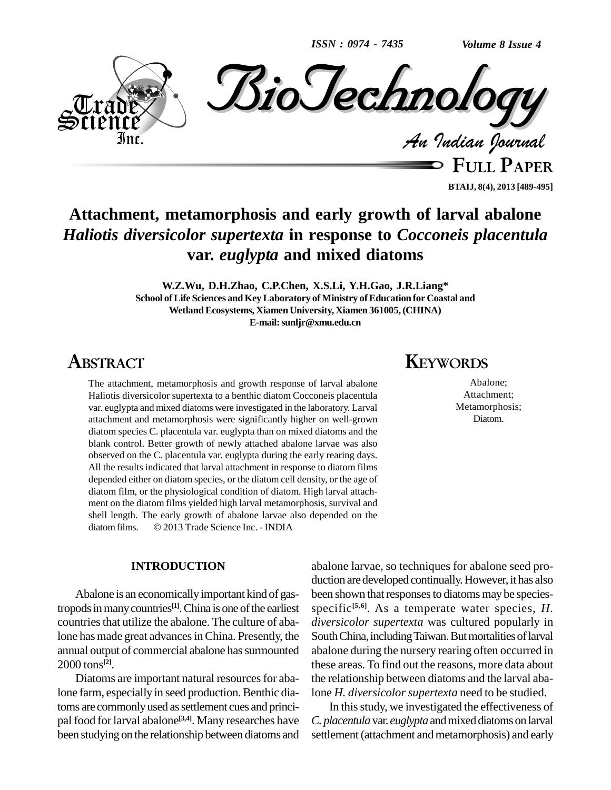*ISSN : 0974 - 7435*



**FULL PAPER BTAIJ, 8(4), 2013 [489-495]**

# **Attachment, metamorphosis and early growth of larval abalone** *Haliotis diversicolor supertexta* **in response to** *Cocconeis placentula* **var.** *euglypta* **and mixed diatoms**

**W.Z.Wu, D.H.Zhao, C.P.Chen, X.S.Li, Y.H.Gao, J.R.Liang\* School ofLife Sciences andKeyLaboratory of Ministry ofEducation for Coastal and WetlandEcosystems, XiamenUniversity, Xiamen 361005,(CHINA) E-mail:[sunljr@xmu.edu.cn](mailto:sunljr@xmu.edu.cn)**

# **ABSTRACT**

The attachment, metamorphosis and growth response of larval abalone Haliotis diversicolor supertexta to a benthic diatom Cocconeis placentula var. euglypta and mixed diatoms were investigated in the laboratory. Larval attachment and metamorphosis were significantly higher on well-grown diatom species C. placentula var. euglypta than on mixed diatoms and the blank control. Better growth of newly attached abalone larvae was also observed on the C. placentula var. euglypta during the early rearing days. All the results indicated that larval attachment in response to diatom films depended either on diatom species, or the diatom cell density, or the age of diatom film, or the physiological condition of diatom. High larval attach ment on the diatom films yielded high larval metamorphosis, survival and shell length. The early growth of abalone larvae also depended on the ment on the diatom films yielded high larval metamorphosis, surv<br>shell length. The early growth of abalone larvae also depended<br>diatom films. © 2013 Trade Science Inc. - INDIA

## **INTRODUCTION**

Abalone is an economically important kind of gastropods in many countries<sup>[1]</sup>. China is one of the earliest sp countries that utilize the abalone. The culture of abalone has made great advances in China. Presently, the annual output of commercial abalone has surmounted 2000 tons **[2]**.

Diatoms are important natural resources for abalone farm, especially in seed production. Benthic diatoms are commonly used as settlement cues and principal food for larval abalone<sup>[3,4]</sup>. Many researches have C. pla been studying on the relationship between diatoms and

# **KEYWORDS**

Abalone; Attachment; Metamorphosis; Diatom.

abalone larvae, so techniques for abalone seed pro duction are developed continually. However, it has also been shown that responses to diatoms may be speciesspecific **[5,6]**. As a temperate water species, *H. diversicolor supertexta* was cultured popularly in South China, including Taiwan. But mortalities of larval abalone during the nursery rearing often occurred in these areas. To find out the reasons, more data about the relationship between diatoms and the larval abalone *H. diversicolor supertexta* need to be studied.

In thisstudy, we investigated the effectiveness of *C. placentula* var. *euglypta* and mixed diatoms on larval settlement (attachment and metamorphosis) and early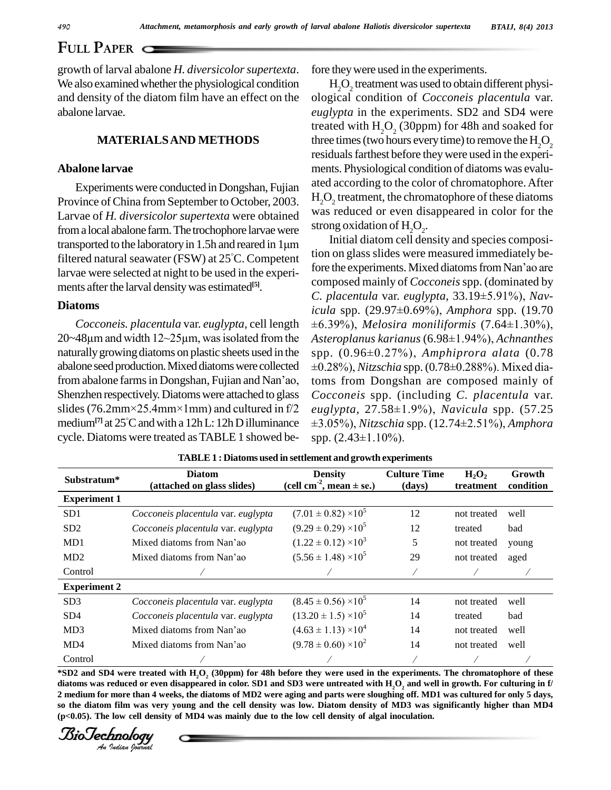growth of larval abalone *H. diversicolorsupertexta*. We also examined whether the physiological condition and density of the diatom film have an effect on the abalone larvae.

# **MATERIALSAND METHODS**

## **Abalone larvae**

Experimentswere conducted in Dongshan, Fujian Province of China from September to October, 2003. Larvae of *H. diversicolor supertexta* were obtained from a local abalone farm. The trochophore larvae were Larvae of *H. diversicolor supertexta* were obtained<br>from a local abalone farm. The trochophore larvae were strong oxidations ported to the laboratory in 1.5h and reared in 1 $\mu$ m filtered natural seawater (FSW) at  $25^{\circ}$ C. Competent  $\frac{100}{5}$ transported to the laboratory in 1.5h and reared in  $1 \mu m$ larvae were selected at night to be used in the experi ments after the larval density was estimated<sup>[5]</sup>.

### **Diatoms**

20~48 $\mu$ m and width 12~25 $\mu$ m, was isolated from the naturally growing diatoms on plastic sheets used in the spp.<br>abalone seed production. Mixed diatoms were collected  $\pm 0.28$ <br>from abalone farms in Dongshan, Fujian and Nan'ao, toms abalone seed production. Mixed diatoms were collected Shenzhen respectively. Diatoms were attached to glass  $Co$ from abalone farms in Dongshan, Fujian and Nan'ao, toms 1<br>Shenzhen respectively. Diatoms were attached to glass  $Coccos$ <br>slides (76.2mm×25.4mm×1mm) and cultured in f/2 euglyp medium<sup>[7]</sup> at  $25^{\circ}$ C and with a 12h L: 12h D illuminance  $\pm 3.05$ slides (76.2mm×25.4mm×1mm) and cultured in  $f/2$ cycle. Diatoms were treated as TABLE 1 showed be- spp.  $(2.43 \pm 1.10\%)$ .

fore they were used in the experiments.

 $\mathrm{H}_{2}\mathrm{O}_{2}$  treatment was used to obtain different physiological condition of *Cocconeis placentula* var. *euglypta* in the experiments. SD2 and SD4 were treated with  $H<sub>2</sub>O<sub>2</sub>$  (30ppm) for 48h and soaked for three times (two hours every time) to remove the  $H_2O_2$ residuals farthest before they were used in the experiments. Physiological condition of diatoms was evalu ated according to the color of chromatophore.After  $\rm H_2O_2$  treatment, the chromatophore of these diatoms was reduced or even disappeared in color for the strong oxidation of  $H_2O_2$ .

*Cocconeis. placentula* var. *euglypta,* cell length Initial diatom cell density and species composition on glass slides were measured immediately be-Initial diatom cell density and species composi-<br>tion on glass slides were measured immediately be-<br>fore the experiments. Mixed diatoms from Nan'ao are composed mainly of *Cocconeis*spp. (dominated by fore the experiments. Mixed diatoms from Nan'ao are<br>composed mainly of *Cocconeis* spp. (dominated by<br>*C. placentula* var. *euglypta*, 33.19±5.91%), *Navicomposed mainly of Cocconeis spp.* (dominated by *C. placentula var. euglypta*, 33.19±5.91%), *Navicula spp.* (29.97±0.69%), *Amphora spp.* (19.70 C. placentula var. euglypta,  $33.19 \pm 5.91\%$ ), Nav*ula var. euglypta, 33.19±5.91%), Nav-*<br>(29.97±0.69%), *Amphora spp.* (19.70<br>*Melosira moniliformis* (7.64±1.30%), icula spp. (29.97±0.69%), *Amphora spp. (19.70*<br>±6.39%), *Melosira moniliformis (7.64±1.30%),*<br>Asteroplanus karianus (6.98±1.94%), Achnanthes ±6.39%), *Melosira moniliformis (7.64±1.30%),*<br>Asteroplanus karianus (6.98±1.94%), Achnanthes<br>spp. (0.96±0.27%), Amphiprora-alata (0.78 Asterople *spp.* (0.96±0.27%), *Amphiprora alata* (0.78<br>±0.28%), *Nitzschia* spp. (0.78±0.288%). Mixed diatoms from Dongshan are composed mainly of *Cocconeis* spp. (including *C. placentula* var. *toms from Dongshan are composed mainly of Cocconeis spp. (including C. placentula var. euglypta, 27.58±1.9%), Navicula spp. (57.25 Is spp. (including C. placentula var.*<br>27.58±1.9%), *Navicula spp. (57.25*<br>*Nitzschia spp. (12.74±2.51%), Amphora* euglypta, 27.58±1.9%<br>±3.05%), *Nitzschia* spp.<br>spp. (2.43±1.10%).

|                     |                                             | <b>TABLE 1: Diatoms used in settlement and growth experiments</b> |                               |                       |                     |
|---------------------|---------------------------------------------|-------------------------------------------------------------------|-------------------------------|-----------------------|---------------------|
| Substratum*         | <b>Diatom</b><br>(attached on glass slides) | <b>Density</b><br>(cell cm <sup>2</sup> , mean $\pm$ se.)         | <b>Culture Time</b><br>(days) | $H_2O_2$<br>treatment | Growth<br>condition |
| <b>Experiment 1</b> |                                             |                                                                   |                               |                       |                     |
| SD1                 | Cocconeis placentula var. euglypta          | $(7.01 \pm 0.82) \times 10^5$                                     | 12                            | not treated           | well                |
| SD2                 | Cocconeis placentula var. euglypta          | $(9.29 \pm 0.29) \times 10^5$                                     | 12                            | treated               | bad                 |
| MD1                 | Mixed diatoms from Nan'ao                   | $(1.22 \pm 0.12) \times 10^3$                                     | 5                             | not treated           | young               |
| MD2                 | Mixed diatoms from Nan'ao                   | $(5.56 \pm 1.48) \times 10^5$                                     | 29                            | not treated           | aged                |
| Control             |                                             |                                                                   |                               |                       |                     |
| <b>Experiment 2</b> |                                             |                                                                   |                               |                       |                     |
| SD3                 | Cocconeis placentula var. euglypta          | $(8.45 \pm 0.56) \times 10^5$                                     | 14                            | not treated           | well                |
| SD4                 | Cocconeis placentula var. euglypta          | $(13.20 \pm 1.5) \times 10^5$                                     | 14                            | treated               | bad                 |
| MD3                 | Mixed diatoms from Nan'ao                   | $(4.63 \pm 1.13) \times 10^4$                                     | 14                            | not treated           | well                |
| M <sub>D</sub> 4    | Mixed diatoms from Nan'ao                   | $(9.78 \pm 0.60) \times 10^{2}$                                   | 14                            | not treated           | well                |
| Control             |                                             |                                                                   |                               |                       |                     |

diatoms was reduced or even disappeared in color. SD1 and SD3 were untreated with  $H_2O_2$  and well in growth. For culturing in f/<br>
2 medium for more than 4 weeks, the diatoms of MD2 were aging and parts were sloughing of \*SD2 and SD4 were treated with H,O, (30ppm) for 48h before they were used in the experiments. The chromatophore of these 2 medium for more than 4 weeks, the diatoms of MD2 were aging and parts were sloughing off. MD1 was cultured for only 5 days, so the diatom film was very young and the cell density was low. Diatom density of MD3 was significantly higher than MD4 **(p<0.05). The low cell density ofMD4 was mainly due to the low cell density of algal inoculation.**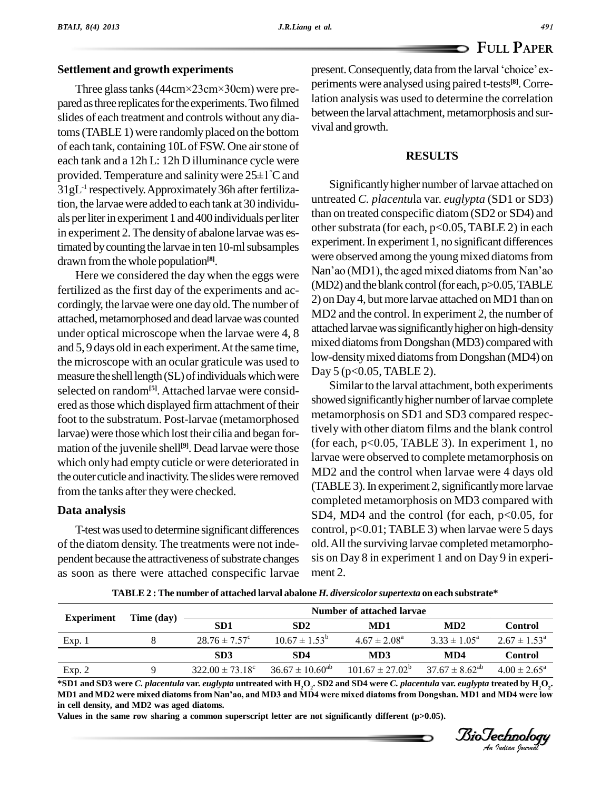## **Settlement and growth experiments**

Three glass tanks (44cm×23cm×30cm) were prepared as three replicates for the experiments. Two filmed slides of each treatment and controls without any diatoms (TABLE 1) were randomly placed on the bottom of each tank, containing 10Lof FSW. One airstone of each tank and a 12h L: 12h D illuminance cycle were of each tank, containing 10L of FSW. One air stone of<br>each tank and a 12h L: 12h D illuminance cycle were<br>provided. Temperature and salinity were  $25\pm1^{\circ}C$  and 31gL -1 respectively.Approximately36h afterfertilization, the larvae were added to each tank at 30 individuals per liter in experiment 1 and 400 individuals per liter in experiment 2.The densityof abalone larvae was estimated by counting the larvae in ten 10-ml subsamples drawn fromthe whole population **[8]**.

fertilized as the first day of the experiments and ac cordingly, the larvae were one day old.The number of attached, metamorphosed and dead larvae was counted under optical microscope when the larvae were 4, 8 and 5, 9 days old in each experiment.At the same time, the microscope with an ocular graticule was used to measure the shell length (SL) of individuals which were selected on random<sup>[5]</sup>. Attached larvae were considered as those which displayed firm attachment of their foot to the substratum. Post-larvae (metamorphosed larvae) were thosewhich lost their cilia and began for mation of the juvenile shell<sup>[9]</sup>. Dead larvae were those left of e which only had empty cuticle or were deteriorated in the outer cuticle and inactivity. The slides were removed from the tanks after theywere checked.

#### **Data analysis**

T-testwas used to determine significant differences of the diatom density. The treatments were not inde pendent because the attractiveness of substrate changes as soon as there were attached conspecific larvae

present. Consequently, data from the larval 'choice' experiments were analysed using paired t-tests **[8]**.Correlation analysis was used to determine the correlation between the larval attachment, metamorphosis and survival and growth.

#### **RESULTS**

Here we considered the day when the eggs were Nan'ao (MD1), the aged mixed diatoms from Nan'ao  $\frac{1}{2}$ Significantly higher number of larvae attached on untreated *C. placentu*la var. *euglypta* (SD1 or SD3) than on treated conspecific diatom (SD2 or SD4) and other substrata (for each,  $p<0.05$ , TABLE 2) in each experiment. In experiment 1, no significant differences were observed among the young mixed diatoms from experiment. In experiment 1, no significant differences<br>were observed among the young mixed diatoms from<br>Nan'ao (MD1), the aged mixed diatoms from Nan'ao  $(MD2)$  and the blank control (for each,  $p > 0.05$ , TABLE 2) on Day 4, but more larvae attached on MD1 than on MD2 and the control. In experiment 2, the number of attached larvae was significantly higher on high-density mixed diatoms from Dongshan (MD3) compared with low-density mixed diatoms from Dongshan (MD4) on Day 5 (p<0.05, TABLE 2).

> Similar to the larval attachment, both experiments showed significantly higher number of larvae complete metamorphosis on SD1 and SD3 compared respectively with other diatom films and the blank control (for each, p<0.05, TABLE 3). In experiment 1, no larvae were observed to complete metamorphosis on MD2 and the control when larvae were 4 days old (TABLE 3). In experiment 2, significantly more larvae completed metamorphosis on MD3 compared with SD4, MD4 and the control (for each,  $p<0.05$ , for control, p<0.01; TABLE 3) when larvae were 5 days old.All the surviving larvae completed metamorpho sis on Day 8 in experiment 1 and on Day 9 in experi ment 2.

|                   |            | Number of attached larvae       |                               |                            |                         |                         |
|-------------------|------------|---------------------------------|-------------------------------|----------------------------|-------------------------|-------------------------|
| <b>Experiment</b> | Time (day) | SD <sub>1</sub>                 | SD2                           | MD1                        | MD2                     | <b>Control</b>          |
| Exp.1             |            | $28.76 \pm 7.57^{\circ}$        | $10.67 \pm 1.53^{\circ}$      | $4.67 \pm 2.08^{\text{a}}$ | $3.33 \pm 1.05^{\circ}$ | $2.67 \pm 1.53^{\circ}$ |
|                   |            | SD <sub>3</sub>                 | SD4                           | MD3                        | MD4                     | <b>Control</b>          |
| Exp. 2            |            | $322.00 \pm 73.18$ <sup>c</sup> | $36.67 \pm 10.60^{\text{ab}}$ | $101.67 \pm 27.02^b$       | $37.67 \pm 8.62^{ab}$   | $4.00 \pm 2.65^{\circ}$ |

**TABLE 2 :The number of attached larval abalone** *H. diversicolorsupertexta* **on each substrate\***

*Indian* MD2 were mixed diatoms from Nan'ao, and MD3 and MD4 were mixed diatoms from Dongshan. MD1 and MD4 were low<br>in cell density, and MD2 was aged diatoms.<br>Values in the same row sharing a common superscript letter are \*SD1 and SD3 were *C. placentula var. euglypta untreated with*  $\rm H_2O_2$ . SD2 and SD4 were *C. placentula var. euglypta treated by*  $\rm H_2O_2$ . Exp. 2 9 322.00  $\pm$  13.18° 36.61  $\pm$  10.60° 101.61  $\pm$  21.02° 31.61  $\pm$  8.62° 4.00  $\pm$  2.65°<br>\*SD1 and SD3 were *C. placentula* var. *euglypta* untreated with H<sub>2</sub>O<sub>2</sub>. SD2 and SD4 were *C. placentula* var. *euglypta* **in cell density, and MD2 was aged diatoms.**

**Values in the same row sharing a common superscript letter are not significantly different (p>0.05).**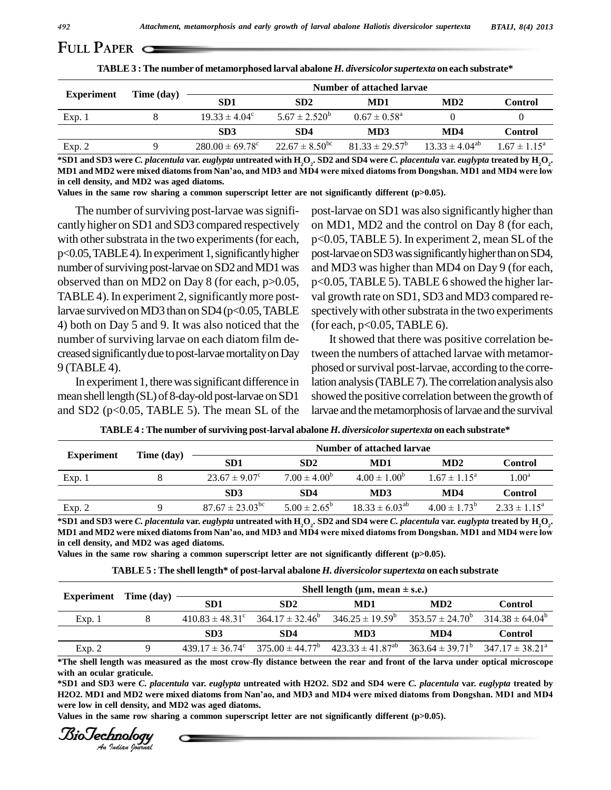|                   |            | TABLE 3 : The number of metamorphosed larval abalone H. diversicolor supertexta on each substrate* |                           |                            |                       |                         |
|-------------------|------------|----------------------------------------------------------------------------------------------------|---------------------------|----------------------------|-----------------------|-------------------------|
|                   |            |                                                                                                    | Number of attached larvae |                            |                       |                         |
| <b>Experiment</b> | Time (day) | SD <sub>1</sub>                                                                                    | SD2                       | MD1                        | MD2                   | <b>Control</b>          |
| Exp.1             |            | $19.33 \pm 4.04^{\circ}$                                                                           | $5.67 \pm 2.520^b$        | $0.67 \pm 0.58^{\text{a}}$ |                       |                         |
|                   |            | SD <sub>3</sub>                                                                                    | SD <sub>4</sub>           | MD3                        | MD4                   | <b>Control</b>          |
| Exp. 2            |            | $280.00 \pm 69.78$ <sup>c</sup>                                                                    | $22.67 \pm 8.50^{\rm bc}$ | $81.33 \pm 29.57^{\circ}$  | $13.33 \pm 4.04^{ab}$ | $1.67 \pm 1.15^{\circ}$ |

\*SD1 and SD3 were *C. placentula var. euglypta untreated with*  $\rm H_2O_2$ . SD2 and SD4 were *C. placentula var. euglypta treated by*  $\rm H_2O_2$ . Exp. 2 9 280.00 ± 69.78° 22.67 ± 8.50° 81.33 ± 29.57° 13.33 ± 4.04° 1.67 ± 1.15°<br>\*SD1 and SD3 were *C. placentula var. euglypta* untreated with H<sub>2</sub>O<sub>2</sub>. SD2 and SD4 were *C. placentula var. euglypta* treated by H<sub>2</sub>O<sub>2</sub>. **in cell density, and MD2 was aged diatoms.**

**Values in the same row sharing a common superscript letter are not significantly different (p>0.05).**

The number of surviving post-larvae was significantly higher on SD1 and SD3 compared respectively with other substrata in the two experiments (for each, p<0.05, TABLE4). In experiment 1, significantly higher number of surviving post-larvae on SD2 and MD1 was observed than on MD2 on Day 8 (for each, p>0.05, TABLE 4). In experiment 2, significantly more postlarvae survived on MD3 than on SD4 ( $p<$  0.05, TABLE 4) both on Day 5 and 9. It was also noticed that the number of surviving larvae on each diatom film decreased significantly due to post-larvae mortality on Day 9 (TABLE 4).

In experiment 1, there was significant difference in mean shell length (SL) of 8-day-old post-larvae on SD1 and SD2 (p<0.05, TABLE 5). The mean SL of the

post-larvae on SD1 was also significantly higher than on MD1, MD2 and the control on Day 8 (for each, p<0.05, TABLE 5). In experiment 2, mean SLof the post-larvae on SD3 was significantly higher than on SD4, and MD3 was higher than MD4 on Day 9 (for each, p<0.05, TABLE 5). TABLE 6 showed the higher lar val growth rate on SD1, SD3 and MD3 compared re spectively with other substrata in the two experiments (for each,  $p<0.05$ , TABLE 6).

It showed that there was positive correlation between the numbers of attached larvae with metamor phosed or survival post-larvae, according to the correlation analysis (TABLE 7). The correlation analysis also showed the positive correlation between the growth of larvae and the metamorphosis of larvae and the survival

| <b>Experiment</b> | Time (day) | Number of attached larvae  |                         |                       |                         |                         |
|-------------------|------------|----------------------------|-------------------------|-----------------------|-------------------------|-------------------------|
|                   |            | SD <sub>1</sub>            | SD2                     | MD1                   | MD2                     | Control                 |
| Exp. 1            |            | $23.67 \pm 9.07^{\circ}$   | $7.00 \pm 4.00^b$       | $4.00 \pm 1.00^b$     | $1.67 \pm 1.15^{\circ}$ | 1.00 <sup>a</sup>       |
|                   |            | SD3                        | SD <sub>4</sub>         | MD3                   | MD4                     | <b>Control</b>          |
| Exp. 2            |            | $87.67 \pm 23.03^{\rm bc}$ | $5.00 \pm 2.65^{\rm b}$ | $18.33 \pm 6.03^{ab}$ | $4.00 \pm 1.73^b$       | $2.33 \pm 1.15^{\circ}$ |

**TABLE4 :The number ofsurviving post-larval abalone** *H. diversicolorsupertexta* **on each substrate\***

\*SD1 and SD3 were *C. placentula var. euglypta untreated with*  $\rm H_2O_2$ . SD2 and SD4 were *C. placentula var. euglypta treated by*  $\rm H_2O_2$ . Exp. 2 9 8/.6/ $\pm$  23.03<sup>co</sup> 5.00 $\pm$  2.65° 18.33  $\pm$  6.03<sup>co</sup> 4.00 $\pm$  1.73° 2.33  $\pm$  1.15°<br>\*SD1 and SD3 were *C. placentula var. euglypta* untreated with H<sub>2</sub>O<sub>2</sub>. SD2 and SD4 were *C. placentula var. euglypta* treate **in cell density, and MD2 was aged diatoms.**

**Values in the same row sharing a common superscript letter are not significantly different (p>0.05).**

| TABLE 5: The shell length* of post-larval abalone <i>H. diversicolor supertexta</i> on each substrate |  |
|-------------------------------------------------------------------------------------------------------|--|
|                                                                                                       |  |

|                              |  |                                          |                                                       | TABLE 5 : The shell length* of post-larval abalone H. diversicolor supertexta on each substrate                                        |                      |                      |  |
|------------------------------|--|------------------------------------------|-------------------------------------------------------|----------------------------------------------------------------------------------------------------------------------------------------|----------------------|----------------------|--|
| <b>Experiment</b> Time (day) |  | Shell length ( $\mu$ m, mean $\pm$ s.e.) |                                                       |                                                                                                                                        |                      |                      |  |
|                              |  | SD <sub>1</sub>                          | SD <sub>2</sub>                                       | MD1                                                                                                                                    | MD2                  | <b>Control</b>       |  |
| Exp.1                        |  |                                          | $410.83 \pm 48.31^{\circ}$ $364.17 \pm 32.46^{\circ}$ | $346.25 \pm 19.59^b$                                                                                                                   | $353.57 \pm 24.70^b$ | $314.38 \pm 64.04^b$ |  |
|                              |  | SD <sub>3</sub>                          | SD4                                                   | MD3                                                                                                                                    | MD4                  | <b>Control</b>       |  |
| Exp. 2                       |  |                                          |                                                       | $439.17 \pm 36.74^{\circ}$ $375.00 \pm 44.77^{\circ}$ $423.33 \pm 41.87^{\circ}$ $363.64 \pm 39.71^{\circ}$ $347.17 \pm 38.21^{\circ}$ |                      |                      |  |

\*The shell length was measured as the most crow-fly distance between the rear and front of the larva under optical microscope **with an ocular graticule.**

*H2O2.* MD1 and MD2 were mixed diatoms from Nan'ao, and MD3 and MD4 were mixed diatoms from Dongshan. MD1 and MD4 were low in cell density, and MD2 was aged diatoms.<br>
Values in the same row sharing a common superscript let \*SD1 and SD3 were C. placentula var. euglypta untreated with H2O2. SD2 and SD4 were C. placentula var. euglypta treated by with an ocular graticule.<br>\*SD1 and SD3 were *C. placentula v*ar. *euglypta* untreated with H2O2. SD2 and SD4 were *C. placentula v*ar. *euglypta tr*eated by<br>H2O2. MD1 and MD2 were mixed diatoms from Nan'ao, and MD3 and MD4 **were low in cell density, and MD2 was aged diatoms.**

**Values in the same row sharing a common superscript letter are not significantly different (p>0.05).**

**FULL PAPER**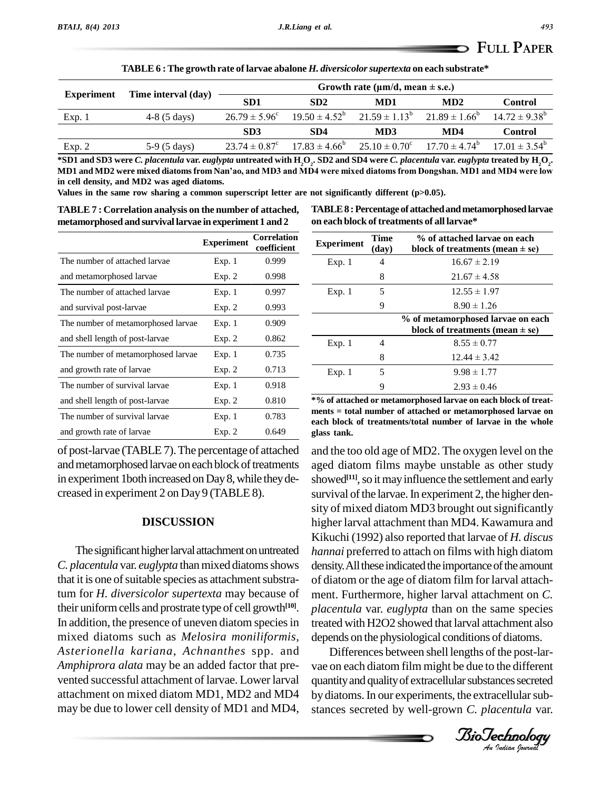|                   | TABLE 6 : The growth rate of larvae abalone <i>H. diversicolor supertexta</i> on each substrate* |                          |                    |                                           |                          |                    |
|-------------------|--------------------------------------------------------------------------------------------------|--------------------------|--------------------|-------------------------------------------|--------------------------|--------------------|
|                   |                                                                                                  |                          |                    | Growth rate ( $\mu$ m/d, mean $\pm$ s.e.) |                          |                    |
| <b>Experiment</b> | Time interval (day)                                                                              | SD <sub>1</sub>          | SD <sub>2</sub>    | MD1                                       | MD2                      | <b>Control</b>     |
| Exp. 1            | $4-8(5 \text{ days})$                                                                            | $26.79 \pm 5.96^{\circ}$ | $19.50 \pm 4.52^b$ | $21.59 \pm 1.13^b$                        | $21.89 \pm 1.66^b$       | $14.72 \pm 9.38^b$ |
|                   |                                                                                                  | SD <sub>3</sub>          | SD <sub>4</sub>    | MD3                                       | MD4                      | <b>Control</b>     |
| Exp. 2            | $5-9(5 \text{ days})$                                                                            | $23.74 \pm 0.87^{\circ}$ | $17.83 \pm 4.66^b$ | $25.10 \pm 0.70^{\circ}$                  | $17.70 \pm 4.74^{\circ}$ | $17.01 \pm 3.54^b$ |

\*SD1 and SD3 were *C. placentula var. euglypta untreated with*  $\rm H_2O_2$ . SD2 and SD4 were *C. placentula var. euglypta treated by*  $\rm H_2O_2$ . Exp. 2 5-9 (5 days)  $23.74 \pm 0.87$   $17.83 \pm 4.66$   $25.10 \pm 0.70$   $17.70 \pm 4.74$   $17.01 \pm 3.54$ <br>\*SD1 and SD3 were *C. placentula* var. *euglypta* untreated with H<sub>2</sub>O<sub>2</sub>. SD2 and SD4 were *C. placentula* var. *euglypta* tr **in cell density, and MD2 was aged diatoms.**

**Values in the same row sharing a common superscript letter are not significantly different (p>0.05).**

**TABLE 7 : Correlation analysis on the number of attached, metamorphosed and survival larvae in experiment 1 and 2**

**TABLE8 :Percentage of attachedandmetamorphosedlarvae on each block of treatments of all larvae\***

|                                    | <b>Experiment</b> | <b>Correlation</b><br>coefficient | Expe            |
|------------------------------------|-------------------|-----------------------------------|-----------------|
| The number of attached larvae      | Exp.1             | 0.999                             | E.              |
| and metamorphosed larvae           | Exp. 2            | 0.998                             |                 |
| The number of attached larvae      | Exp. 1            | 0.997                             | E.              |
| and survival post-larvae           | Exp. 2            | 0.993                             |                 |
| The number of metamorphosed larvae | Exp. 1            | 0.909                             |                 |
| and shell length of post-larvae    | Exp. 2            | 0.862                             | E)              |
| The number of metamorphosed larvae | Exp. 1            | 0.735                             |                 |
| and growth rate of larvae          | Exp. 2            | 0.713                             | E)              |
| The number of survival larvae      | Exp. 1            | 0.918                             |                 |
| and shell length of post-larvae    | Exp. 2            | 0.810                             | $*$ % of        |
| The number of survival larvae      | Exp. 1            | 0.783                             | ments<br>each l |
| and growth rate of larvae          | Exp. 2            | 0.649                             | glass           |

of post-larvae (TABLE 7).The percentage of attached and metamorphosed larvae on each block of treatments in experiment 1 both increased on Day 8, while they decreased in experiment 2 on Day9 (TABLE 8).

### **DISCUSSION**

The significant higher larval attachment on untreated *C. placentula* var. *euglypta* than mixed diatoms shows that it is one of suitable species as attachment substratum for *H. diversicolor supertexta* may because of their uniform cells and prostrate type of cell growth<sup>[10]</sup>. plac In addition, the presence of uneven diatom species in mixed diatoms such as *Melosira moniliformis*, *Asterionella kariana*, *Achnanthes* spp. and *Amphiprora alata* may be an added factor that pre vented successful attachment of larvae. Lower larval attachment on mixed diatom MD1, MD2 and MD4 may be due to lower cell density of MD1 and MD4,

| <b>Experiment</b> | <b>Time</b><br>(day) | % of attached larvae on each<br>block of treatments (mean $\pm$ se)      |
|-------------------|----------------------|--------------------------------------------------------------------------|
| Exp.1             | 4                    | $16.67 \pm 2.19$                                                         |
|                   | 8                    | $21.67 \pm 4.58$                                                         |
| Exp. 1            | 5                    | $12.55 \pm 1.97$                                                         |
|                   | 9                    | $8.90 \pm 1.26$                                                          |
|                   |                      | % of metamorphosed larvae on each<br>block of treatments (mean $\pm$ se) |
| Exp.1             | 4                    | $8.55 \pm 0.77$                                                          |
|                   | 8                    | $12.44 \pm 3.42$                                                         |
| Exp.1             | 5                    | $9.98 \pm 1.77$                                                          |
|                   | 9                    | $2.93 \pm 0.46$                                                          |

**\*% of attached or metamorphosed larvae on each block of treat ments = total number of attached or metamorphosed larvae on each block of treatments/total number of larvae in the whole glass tank.**

treated with H2O2 showed that larval attachment also and the too old age of MD2. The oxygen level on the aged diatom films maybe unstable as other study showed<sup>[11]</sup>, so it may influence the settlement and early survival of the larvae. In experiment 2, the higher density of mixed diatom MD3 brought out significantly higher larval attachment than MD4. Kawamura and Kikuchi (1992) also reported thatlarvae of *H. discus hannai* preferred to attach on films with high diatom density. All these indicated the importance of the amount of diatom or the age of diatom film for larval attach ment. Furthermore, higher larval attachment on *C. placentula* var. *euglypta* than on the same species depends on the physiological conditions of diatoms.

*An*vae on each diatom film might be due to the different Differences between shell lengths of the post-lar quantity and quality of extracellular substances secreted by diatoms. In our experiments, the extracellular substances secreted by well-grown *C. placentula* var.

*Indian Journal*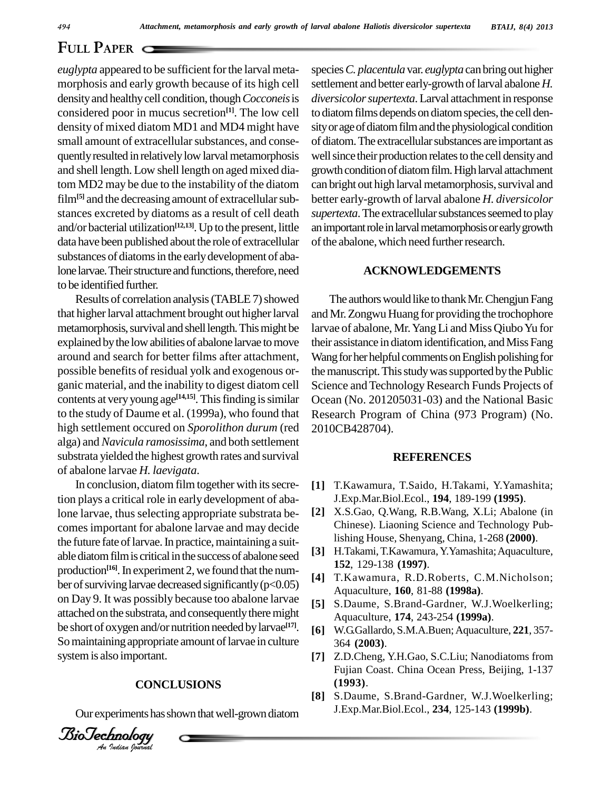*euglypta* appeared to be sufficient for the larval metamorphosis and early growth because of its high cell densityand healthycell condition, though*Cocconeis*is considered poor in mucus secretion **[1]**. The low cell density of mixed diatom MD1 and MD4 might have small amount of extracellular substances, and consequently resulted in relatively low larval metamorphosis and shell length.Low shell length on aged mixed diatom MD2 may be due to the instability of the diatom film<sup>[5]</sup> and the decreasing amount of extracellular substances excreted by diatoms as a result of cell death and/or bacterial utilization<sup>[12,13]</sup>. Up to the present, little an imp data have been published about the role of extracellular substances of diatoms in the early development of abalone larvae. Their structure and functions, therefore, need to be identified further.

Results of correlation analysis (TABLE 7) showed that higher larval attachment brought out higher larval metamorphosis, survival and shell length. This might be explained bythe lowabilities of abalone larvae tomove around and search for better films after attachment, possible benefits of residual yolk and exogenous or ganic material, and the inability to digest diatom cell contents at very young age<sup>[14,15]</sup>. This finding is similar Oce to the study of Daume et al. (1999a), who found that high settlement occured on *Sporolithon durum* (red alga) and *Navicula ramosissima*, and both settlement substrata yielded the highest growth rates and survival of abalone larvae *H. laevigata*.

attached on the substrata, and consequently there ringht<br>be short of oxygen and/or nutrition needed by larvae<sup>[17]</sup>. [6] *An*systemis also important. In conclusion, diatom film together with its secretion plays a critical role in early development of abalone larvae, thus selecting appropriate substrata be comesimportant for abalone larvae and may decide the future fate of larvae. In practice, maintaining a suitable diatom film is critical in the success of abalone seed production<sup>[16]</sup>. In experiment 2, we found that the number of surviving larvae decreased significantly  $(p<0.05)$ on Day 9. It was possibly because too abalone larvae attached on the substrata, and consequently there might So maintaining appropriate amount of larvae in culture

#### **CONCLUSIONS**

Our experiments has shown that well-grown diatom

*Indian Journal*

species*C. placentula* var. *euglypta* canbringout higher settlement and better early-growth of larval abalone *H*. *diversicolorsupertexta*.Larval attachment in response to diatom films depends on diatom species, the cell density or age of diatom film and the physiological condition of diatom. The extracellular substances are important as well since their production relates to the cell density and growth condition of diatom film. High larval attachment can bright out high larval metamorphosis, survival and better early-growth of larval abalone *H. diversicolor* supertexta. The extracellular substances seemed to play an important role in larval metamorphosis or early growth of the abalone, which need further research.

## **ACKNOWLEDGEMENTS**

The authors would like to thank Mr. Chengjun Fang and Mr. Zongwu Huang for providing the trochophore larvae of abalone, Mr. Yang Li and Miss Qiubo Yu for their assistance in diatom identification, and Miss Fang Wang for her helpful comments on English polishing for the manuscript. This study was supported by the Public Science and Technology Research Funds Projects of Ocean (No. 201205031-03) and the National Basic Research Program of China (973 Program) (No. 2010CB428704).

#### **REFERENCES**

- **[1]** T.Kawamura, T.Saido, H.Takami, Y.Yamashita; J.Exp.Mar.Biol.Ecol., **194**, 189-199 **(1995)**.
- **[2]** X.S.Gao, Q.Wang, R.B.Wang, X.Li; Abalone (in Chinese). Liaoning Science and Technology Publishing House, Shenyang, China, 1-268 **(2000)**.
- **[3]** H.Takami,T.Kawamura,Y.Yamashita;Aquaculture, **152**, 129-138 **(1997)**.
- **[4]** T.Kawamura, R.D.Roberts, C.M.Nicholson; Aquaculture, **160**, 81-88 **(1998a)**.
- **[5]** S.Daume, S.Brand-Gardner, W.J.Woelkerling; Aquaculture, **174**, 243-254 **(1999a)**.
- **[6]** W.G.Gallardo, S.M.A.Buen;Aquaculture, **221**, 357- 364 **(2003)**.
- **[7]** Z.D.Cheng, Y.H.Gao, S.C.Liu; Nanodiatoms from Fujian Coast. China Ocean Press, Beijing, 1-137 **(1993)**.
- **[8]** S.Daume, S.Brand-Gardner, W.J.Woelkerling; J.Exp.Mar.Biol.Ecol., **234**, 125-143 **(1999b)**.